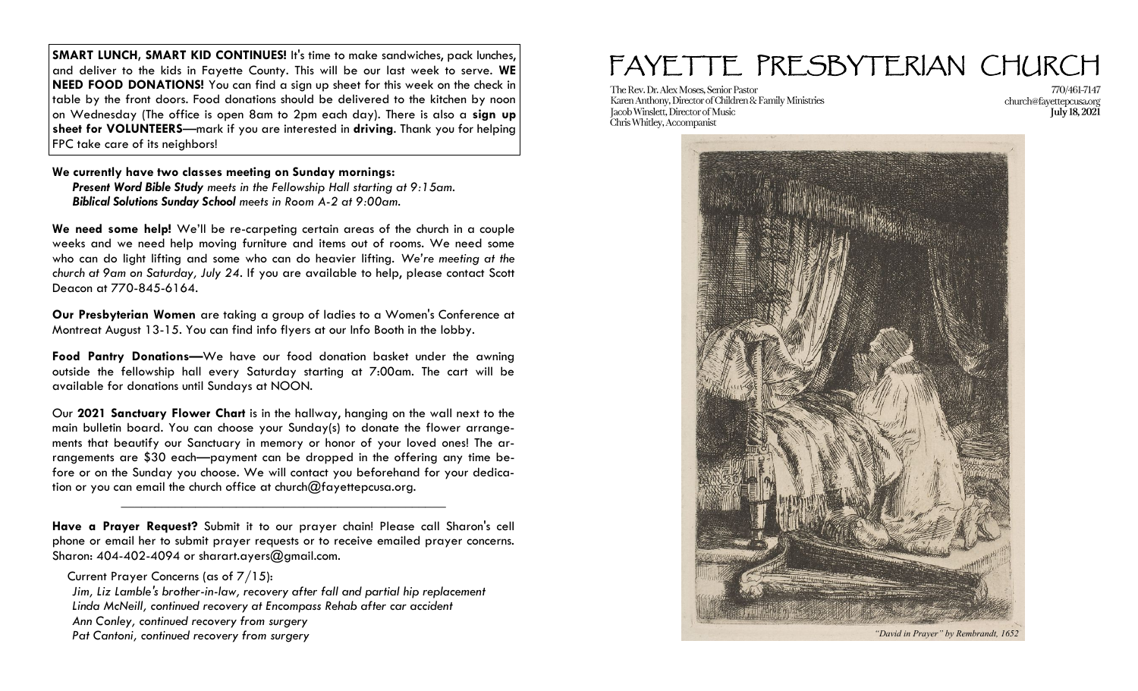**SMART LUNCH, SMART KID CONTINUES!** It's time to make sandwiches, pack lunches, and deliver to the kids in Fayette County. This will be our last week to serve. **WE NEED FOOD DONATIONS!** You can find a sign up sheet for this week on the check in table by the front doors. Food donations should be delivered to the kitchen by noon on Wednesday (The office is open 8am to 2pm each day). There is also a **sign up sheet for VOLUNTEERS**—mark if you are interested in **driving**. Thank you for helping FPC take care of its neighbors!

**We currently have two classes meeting on Sunday mornings:** *Present Word Bible Study meets in the Fellowship Hall starting at 9:15am.* 

*Biblical Solutions Sunday School meets in Room A-2 at 9:00am.*

**We need some help!** We'll be re-carpeting certain areas of the church in a couple weeks and we need help moving furniture and items out of rooms. We need some who can do light lifting and some who can do heavier lifting. *We're meeting at the church at 9am on Saturday, July 24*. If you are available to help, please contact Scott Deacon at 770-845-6164.

**Our Presbyterian Women** are taking a group of ladies to a Women's Conference at Montreat August 13-15. You can find info flyers at our Info Booth in the lobby.

**Food Pantry Donations—**We have our food donation basket under the awning outside the fellowship hall every Saturday starting at 7:00am. The cart will be available for donations until Sundays at NOON.

Our **2021 Sanctuary Flower Chart** is in the hallway, hanging on the wall next to the main bulletin board. You can choose your Sunday(s) to donate the flower arrangements that beautify our Sanctuary in memory or honor of your loved ones! The arrangements are \$30 each—payment can be dropped in the offering any time before or on the Sunday you choose. We will contact you beforehand for your dedication or you can email the church office at church@fayettepcusa.org.

**Have a Prayer Request?** Submit it to our prayer chain! Please call Sharon's cell phone or email her to submit prayer requests or to receive emailed prayer concerns. Sharon: 404-402-4094 or sharart.ayers@gmail.com.

\_\_\_\_\_\_\_\_\_\_\_\_\_\_\_\_\_\_\_\_\_\_\_\_\_\_\_\_\_\_\_\_\_\_\_\_\_\_\_\_\_\_\_\_\_\_\_\_

Current Prayer Concerns (as of 7/15): *Jim, Liz Lamble's brother-in-law, recovery after fall and partial hip replacement Linda McNeill, continued recovery at Encompass Rehab after car accident Ann Conley, continued recovery from surgery Pat Cantoni, continued recovery from surgery*

## FAYETTE PRESBYTERIAN CHURCH

The Rev. Dr. Alex Moses, Senior Pastor Karen Anthony, Director of Children & Family Ministries Jacob Winslett, Director of Music Chris Whitley, Accompanist

770/461-7147 church@favettepcusa.org **July 18, 2021**